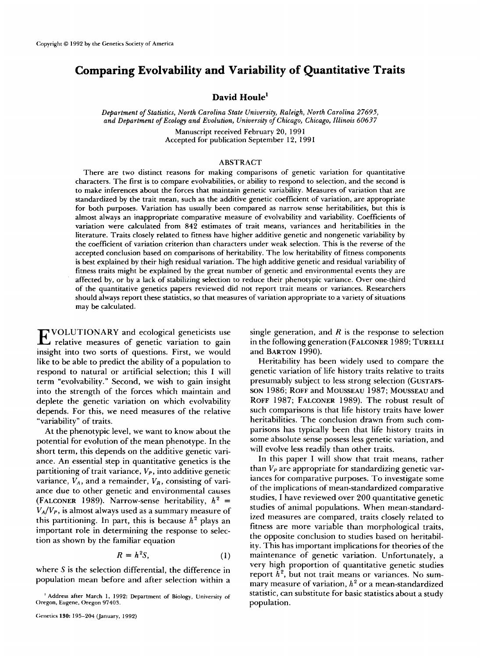# **Comparing Evolvability and Variability of Quantitative Traits**

# **David Houle'**

*Department of Statistics, North Carolina State University, Raleigh, North Carolina 27695, and Department of Ecology and Evolution, University of Chicago, Chicago, Illinois 60637* 

> Manuscript received February **20,** 1991 Accepted for publication September **12,** 199 **<sup>1</sup>**

### ABSTRACT

There are two distinct reasons for making comparisons of genetic variation for quantitative characters. The first is to compare evolvabilities, or ability to respond to selection, and the second is to make inferences about the forces that maintain genetic variability. Measures of variation that are standardized by the trait mean, such as the additive genetic coefficient of variation, are appropriate for both purposes. Variation has usually been compared as narrow sense heritabilities, but this is almost always an inappropriate comparative measure of evolvability and variability. Coefficients of variation were calculated from **842** estimates of trait means, variances and heritabilities in the literature. Traits closely related to fitness have higher additive genetic and nongenetic variability by the coefficient of variation criterion than characters under weak selection. This is the reverse of the accepted conclusion based on comparisons of heritability. The low heritability **of** fitness components is best explained by their high residual variation. The high additive genetic and residual variability of fitness traits might be explained by the great number of genetic and environmental events they are affected by, or by a lack of stabilizing selection to reduce their phenotypic variance. Over one-third of the quantitative genetics papers reviewed did not report trait means or variances. Researchers should always report these statistics, **so** that measures of variation appropriate to a variety of situations may be calculated.

E VOLUTIONARY and ecological geneticists use relative measures of genetic variation to gain insight into two sorts of questions. First, we would like to be able to predict the ability of a population to respond to natural or artificial selection; this I will term "evolvability." Second, we wish to gain insight into the strength of the forces which maintain and deplete the genetic variation on which evolvability depends. For this, we need measures of the relative "variability" of traits.

At the phenotypic level, we want to know about the potential for evolution of the mean phenotype. In the short term, this depends on the additive genetic variance. An essential step in quantitative genetics is the partitioning of trait variance, *Vp,* into additive genetic variance,  $V_A$ , and a remainder,  $V_R$ , consisting of variance due to other genetic and environmental causes (FALCONER 1989). Narrow-sense heritability,  $h^2$  =  $V_A/V_P$ , is almost always used as a summary measure of this partitioning. In part, this is because  $h^2$  plays an important role in determining the response to selection as shown by the familiar equation

$$
R = h^2 S, \tag{1}
$$

where *S* is the selection differential, the difference in population mean before and after selection within a single generation, and *R* is the response to selection in the following generation (FALCONER 1989; TURELLI and BARTON 1990).

Heritability has been widely used to compare the genetic variation of life history traits relative to traits presumably subject to less strong selection (GUSTAFS-SON 1986; ROFF and MOUSSEAU 1987; MOUSSEAU and ROFF 1987; FALCONER 1989). The robust result of such comparisons is that life history traits have lower heritabilities. The conclusion drawn from such comparisons has typically been that life history traits in some absolute sense possess less genetic variation, and will evolve less readily than other traits.

In this paper I will show that trait means, rather than  $V_P$  are appropriate for standardizing genetic variances for comparative purposes. To investigate some of the implications of mean-standardized comparative studies, I have reviewed over 200 quantitative genetic studies of animal populations. When mean-standardized measures are compared, traits closely related to fitness are more variable than morphological traits, the opposite conclusion to studies based on heritability. This has important implications for theories of the maintenance of genetic variation. Unfortunately, a very high proportion **of** quantitative genetic studies report  $h^2$ , but not trait means or variances. No summary measure of variation, *h2* or a mean-standardized statistic, can substitute for basic statistics about a study population.

Oregon, Eugene, Oregon **97403.**  ' Address after March 1, **1992:** Department **of** Biology, University of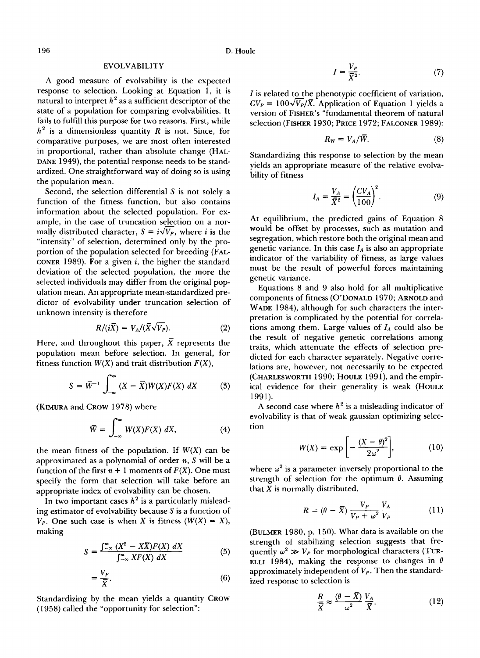### **EVOLVABILITY**

A good measure of evolvability is the expected response to selection. Looking at Equation 1, it is natural to interpret  $h^2$  as a sufficient descriptor of the state of a population for comparing evolvabilities. It fails to fulfill this purpose for two reasons. First, while  $h^2$  is a dimensionless quantity *R* is not. Since, for comparative purposes, we are most often interested in proportional, rather than absolute change (HAL-DANE 1949), the potential response needs to be standardized. One straightforward way of doing **so** is using the population mean.

Second, the selection differential *S* is not solely a function of the fitness function, but also contains information about the selected population. For example, in the case of truncation selection on a normally distributed character,  $S = i\sqrt{V_p}$ , where *i* is the "intensity" of selection, determined only by the proportion of the population selected for breeding (FAL-CONER 1989). For a given *i,* the higher the standard deviation of the selected population, the more the selected individuals may differ from the original population mean. An appropriate mean-standardized predictor of evolvability under truncation selection of unknown intensity is therefore

$$
R/(i\overline{X}) = V_A/(\overline{X}\sqrt{V_P}).
$$
 (2)

Here, and throughout this paper,  $\overline{X}$  represents the population mean before selection. In general, for fitness function  $W(X)$  and trait distribution  $F(X)$ ,

$$
S = \overline{W}^{-1} \int_{-\infty}^{\infty} (X - \overline{X}) W(X) F(X) \, dX \tag{3}
$$

(KIMURA and CROW 1978) where

$$
\bar{W} = \int_{-\infty}^{\infty} W(X)F(X) \, dX,\tag{4}
$$

the mean fitness of the population. If  $W(X)$  can be approximated as a polynomial of order *n, S* will be a function of the first  $n + 1$  moments of  $F(X)$ . One must specify the form that selection will take before an appropriate index of evolvability can be chosen.

In two important cases  $h^2$  is a particularly misleading estimator **of** evolvability because *S* is a function of  $V_P$ . One such case is when *X* is fitness  $(W(X) = X)$ , making

$$
S = \frac{\int_{-\infty}^{\infty} (X^2 - X\overline{X}) F(X) \, dX}{\int_{-\infty}^{\infty} XF(X) \, dX} \tag{5}
$$

$$
=\frac{V_P}{\overline{X}}.\t(6)
$$

Standardizing by the mean yields a quantity CROW (1 **958)** called the "opportunity for selection":

$$
I = \frac{V_P}{\overline{X}^2}.\tag{7}
$$

*I* is related to the phenotypic coefficient of variation,  $CV_P = 100\sqrt{V_P}/\overline{X}$ . Application of Equation 1 yields a version of FISHER'S "fundamental theorem of natural selection (FISHER 1930; PRICE 1972; FALCONER 1989):

$$
R_W = V_A/\overline{W}.\tag{8}
$$

Standardizing this response to selection by the mean yields an appropriate measure of the relative evolvability of fitness

$$
I_A = \frac{V_A}{\overline{X}^2} = \left(\frac{CV_A}{100}\right)^2.
$$
 (9)

At equilibrium, the predicted gains of Equation 8 would be offset by processes, such as mutation and segregation, which restore both the original mean and genetic variance. In this case  $I_A$  is also an appropriate indicator of the variability of fitness, as large values must be the result of powerful forces maintaining genetic variance.

Equations 8 and 9 also hold for all multiplicative components of fitness (O'DONALD 1970; ARNOLD and WADE 1984), although for such characters the interpretation is complicated by the potential for correlations among them. Large values of  $I_A$  could also be the result of negative genetic correlations among traits, which attenuate the effects of selection predicted for each character separately. Negative correlations are, however, not necessarily to be expected (CHARLESWORTH 1990; HOULE 1991), and the empirical evidence for their generality is weak (HOULE 1991).

A second case where  $h^2$  is a misleading indicator of evolvability is that of weak gaussian optimizing selection

$$
W(X) = \exp\left[-\frac{(X-\theta)^2}{2\omega^2}\right],\tag{10}
$$

where  $\omega^2$  is a parameter inversely proportional to the strength of selection for the optimum  $\theta$ . Assuming that *X* is normally distributed,

$$
R = (\theta - \overline{X}) \frac{V_P}{V_P + \omega^2} \frac{V_A}{V_P} \tag{11}
$$

(BULMER 1980, p. 150). What data is available on the strength **of** stabilizing selection suggests that frequently  $\omega^2 \gg V_P$  for morphological characters (TUR-ELLI 1984), making the response to changes in  $\theta$ approximately independent of *Vp.* Then the standardized response to selection is

$$
\frac{R}{\bar{X}} \approx \frac{(\theta - \bar{X})}{\omega^2} \frac{V_A}{\bar{X}}.
$$
 (12)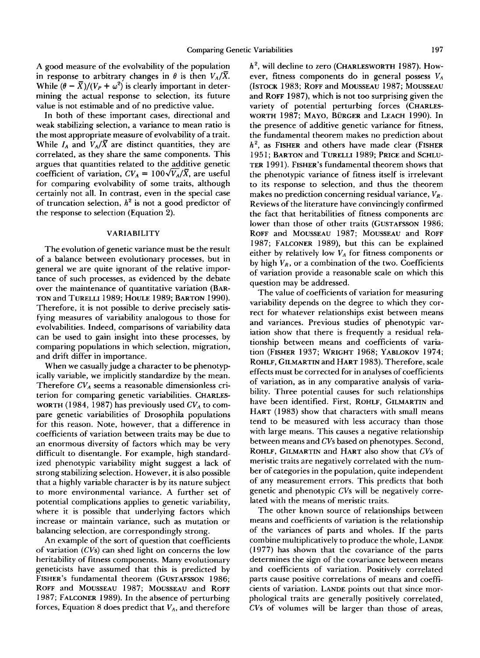**A** good measure of the evolvability of the population in response to arbitrary changes in  $\theta$  is then  $V_A/\overline{X}$ . While  $(\theta - \overline{X})/(V_P + \omega^2)$  is clearly important in determining the actual response to selection, its future value is not estimable and of no predictive value.

In both of these important cases, directional and weak stabilizing selection, a variance to mean ratio is the most appropriate measure of evolvability of a trait. While  $I_A$  and  $V_A/\overline{X}$  are distinct quantities, they are correlated, as they share the same components. This argues that quantities related to the additive genetic coefficient of variation,  $CV_A = 100\sqrt{V_A/\overline{X}}$ , are useful for comparing evolvability of some traits, although certainly not all. In contrast, even in the special case of truncation selection,  $h^2$  is not a good predictor of the response to selection (Equation **2).** 

### **VARIABILITY**

The evolution of genetic variance must be the result of a balance between evolutionary processes, but in general we are quite ignorant of the relative importance of such processes, as evidenced by the debate over the maintenance of quantitative variation (BAR-TON and TURELLI **1989;** HOULE **1989;** BARTON **1990).**  Therefore, it is not possible to derive precisely satisfying measures of variability analogous to those for evolvabilities. Indeed, comparisons of variability data can be used to gain insight into these processes, by comparing populations in which selection, migration, and drift differ in importance.

When we casually judge a character to be phenotypically variable, we implicitly standardize by the mean. Therefore  $CV_A$  seems a reasonable dimensionless criterion for comparing genetic variabilities. CHARLES-WORTH **(1 984, 1987)** has previously used *CVA* to compare genetic variabilities of Drosophila populations for this reason. Note, however, that a difference in coefficients of variation between traits may be due to an enormous diversity of factors which may be very difficult to disentangle. For example, high standardized phenotypic variability might suggest a lack of strong stabilizing selection. However, it is also possible that a highly variable character is by its nature subject to more environmental variance. **A** further set of potential complications applies to genetic variability, where it is possible that underlying factors which increase or maintain variance, such as mutation or balancing selection, are correspondingly strong.

An example of the sort of question that coefficients **of** variation *(CVs)* can shed light on concerns the low heritability **of** fitness components. Many evolutionary geneticists have assumed that this is predicted by FISHER'S fundamental theorem (GUSTAFSSON **1986;**  ROFF and MOUSSEAU **1987;** MOUSSEAU and ROFF **1987;** FALCONER **1989).** In the absence of perturbing forces, Equation 8 does predict that  $V_A$ , and therefore

*h2,* will decline to zero (CHARLESWORTH **1987).** However, fitness components do in general possess *VA*  (ISTOCK **1983;** ROFF and MOUSSEAU **1987;** MOUSSEAU and ROFF **1987),** which is not too surprising given the variety of potential perturbing forces (CHARLES-WORTH **1987;** MAYO, BURGER and LEACH **1990).** In the presence **of** additive genetic variance for fitness, the fundamental theorem makes no prediction about *h2,* as FISHER and others have made clear (FISHER **195 1** ; BARTON and TURELLI **1989;** PRICE and SCHLU-TER **1991).** FISHER'S fundamental theorem shows that the phenotypic variance of fitness itself is irrelevant to its response to selection, and thus the theorem makes no prediction concerning residual variance, *VR.*  Reviews of the literature have convincingly confirmed the fact that heritabilities of fitness components are lower than those of other traits (GUSTAFSSON **1986;**  ROFF and MOUSSEAU **1987;** MOUSSEAU and ROFF **1987;** FALCONER **1989),** but this can be explained either by relatively low *VA* for fitness components or by high  $V_R$ , or a combination of the two. Coefficients of variation provide a reasonable scale on which this question may be addressed.

The value of coefficients of variation for measuring variability depends on the degree to which they correct for whatever relationships exist between means and variances. Previous studies of phenotypic variation show that there is frequently a residual relationship between means and coefficients of variation (FISHER **1937;** WRIGHT **1968;** YABLOKOV **1974;**  ROHLF, GILMARTIN and HART **1983).** Therefore, scale effects must be corrected for in analyses of coefficients of variation, as in any comparative analysis of variability. Three potential causes for such relationships have been identified. First, ROHLF, GILMARTIN and HART **(1983)** show that characters with small means tend to be measured with less accuracy than those with large means. This causes a negative relationship between means and *CVs* based on phenotypes. Second, ROHLF, GILMARTIN and HART also show that *CVs* of meristic traits are negatively correlated with the number of categories in the population, quite independent of any measurement errors. This predicts that both genetic and phenotypic *CVs* will be negatively correlated with the means of meristic traits.

The other known source of relationships between means and coefficients of variation is the relationship of the variances of parts and wholes. If the parts combine multiplicatively to produce the whole, LANDE **(1977)** has shown that the covariance of the parts determines the sign of the covariance between means and coefficients of variation. Positively correlated parts cause positive correlations of means and coefficients of variation. LANDE points out that since morphological traits are generally positively correlated, *CVs* of volumes will be larger than those of areas,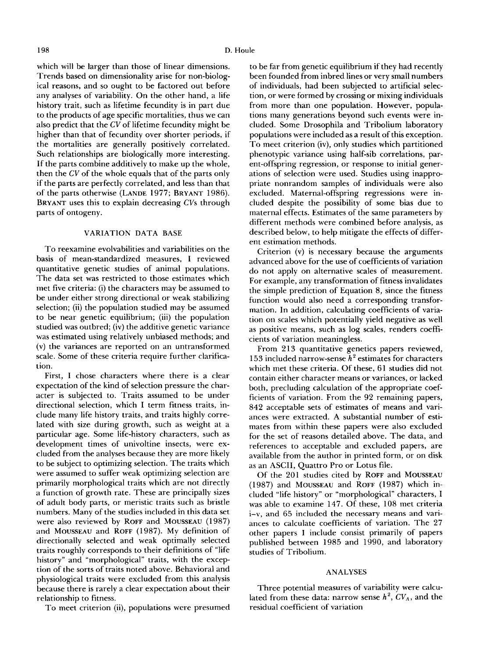which will be larger than those of linear dimensions. Trends based on dimensionality arise for non-biological reasons, and **so** ought to be factored out before any analyses of variability. On the other hand, a life history trait, such as lifetime fecundity is in part due to the products of age specific mortalities, thus we can also predict that the *CV* of lifetime fecundity might be higher than that of fecundity over shorter periods, if the mortalities are generally positively correlated. Such relationships are biologically more interesting. If the parts combine additively to make up the whole, then the *CV* of the whole equals that of the parts only if the parts are perfectly correlated, and less than that of the parts otherwise (LANDE **1977;** BRYANT **1986).**  BRYANT uses this to explain decreasing *CVs* through parts of ontogeny.

# **VARIATION DATA BASE**

To reexamine evolvabilities and variabilities on the basis of mean-standardized measures, **I** reviewed quantitative genetic studies of animal populations. The data set was restricted to those estimates which met five criteria: (i) the characters may be assumed to be under either strong directional or weak stabilizing selection; (ii) the population studied may be assumed to be near genetic equilibrium; (iii) the population studied was outbred; (iv) the additive genetic variance was estimated using relatively unbiased methods; and (v) the variances are reported on an untransformed scale. Some of these criteria require further clarification.

First, **I** chose characters where there is a clear expectation of the kind of selection pressure the character is subjected to. Traits assumed to be under directional selection, which **I** term fitness traits, include many life history traits, and traits highly correlated with size during growth, such as weight at a particular age. Some life-history characters, such as development times of univoltine insects, were excluded from the analyses because they are more likely to be subject to optimizing selection. The traits which were assumed to suffer weak optimizing selection are primarily morphological traits which are not directly **a** function of growth rate. These are principally sizes of adult body parts, or meristic traits such as bristle numbers. Many of the studies included in this data set were also reviewed by **ROFF** and MOUSSEAU **(1987)**  and MOUSSEAU and **ROFF (1987).** My definition of directionally selected and weak optimally selected traits roughly corresponds to their definitions of "life history" and "morphological" traits, with the exception of the sorts of traits noted above. Behavioral and physiological traits were excluded from this analysis because there is rarely a clear expectation about their relationship to fitness.

To meet criterion (ii), populations were presumed

to be far from genetic equilibrium if they had recently been founded from inbred lines or very small numbers of individuals, had been subjected to artificial selection, or were formed by crossing or mixing individuals from more than one population. However, populations many generations beyond such events were included. Some Drosophila and Tribolium laboratory populations were included as a result of this exception. To meet criterion (iv), only studies which partitioned phenotypic variance using half-sib correlations, parent-offspring regression, or response to initial generations of selection were used. Studies using inappropriate nonrandom samples of individuals were also excluded. Maternal-offspring regressions were included despite the possibility of some bias due to maternal effects. Estimates of the same parameters by different methods were combined before analysis, as described below, to help mitigate the effects of different estimation methods.

Criterion (v) is necessary because the arguments advanced above for the use of coefficients of variation do not apply on alternative scales of measurement. For example, any transformation of fitness invalidates the simple prediction of Equation **8,** since the fitness function would also need a corresponding transformation. In addition, calculating coefficients of variation on scales which potentially yield negative as well as positive means, such as log scales, renders coefficients of variation meaningless.

From **2 13** quantitative genetics papers reviewed, **153** included narrow-sense *h2* estimates for characters which met these criteria. Of these, **61** studies did not contain either character means or variances, or lacked both, precluding calculation **of** the appropriate coefficients of variation. From the **92** remaining papers, **842** acceptable sets of estimates of means and variances were extracted. **A** substantial number of estimates from within these papers were also excluded for the set of reasons detailed above. The data, and references to acceptable and excluded papers, are available from the author in printed form, or on disk as an ASCII, Quattro Pro or Lotus file.

Of the **201** studies cited by **ROFF** and MOUSSEAU **(1987)** and MOUSSEAU and **ROFF (1987)** which included "life history" or "morphological" characters, **<sup>I</sup>** was able to examine **147.** Of these, **108** met criteria i-v, and **65** included the necessary means and variances to calculate coefficients of variation. The **27**  other papers **I** include consist primarily **of** papers published between **1985** and **1990,** and laboratory studies of Tribolium.

# **ANALYSES**

Three potential measures of variability were calculated from these data: narrow sense  $h^2$ ,  $CV_A$ , and the residual coefficient of variation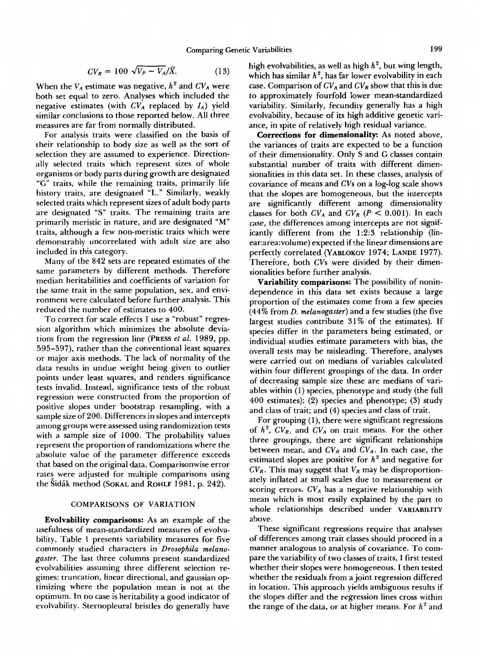$$
CV_R = 100 \sqrt{V_P - V_A}/\overline{X}.
$$
 (13)

When the  $V_A$  estimate was negative,  $h^2$  and  $CV_A$  were both set equal to zero. Analyses which included the negative estimates (with  $CV_A$  replaced by  $I_A$ ) yield similar conclusions to those reported below. All three measures are far from normally distributed.

For analysis traits were classified on the basis of their relationship to body size as well as the sort of selection they are assumed to experience. Directionally selected traits which represent sizes of whole organisms or body parts during growth are designated **"G"** traits, while the remaining traits, primarily life history traits, are designated **"L."** Similarly, weakly selected traits which represent sizes of adult body parts are designated **"S"** traits. The remaining traits are primarily meristic in nature, and are designated "M" traits, although a few non-meristic traits which were demonstrably uncorrelated with adult size are also included in this category.

Many of the **842** sets are repeated estimates of the same parameters by different methods. Therefore median heritabilities and coefficients of variation for the same trait in the same population, sex, and environment were calculated before further analysis. This reduced the number of estimates to **400.** 

To correct for scale effects I use a "robust" regression algorithm which minimizes the absolute deviations from the regression line **(PRESS** *et al.* **1989,** pp. **595-597),** rather than the conventional least squares or major axis methods. The lack of normality of the data results in undue weight being given to outlier points under least squares, and renders significance tests invalid. Instead, significance tests of the robust regression were constructed from the proportion of positive slopes under bootstrap resampling, with a sample size of **200.** Differences in slopes and intercepts among groups were assessed using randomization tests with a sample size of **1000.** The probability values represent the proportion of randomizations where the absolute value of the parameter difference exceeds that based on the original data. Comparisonwise error rates were adjusted for multiple comparisons using the Sidák method (SOKAL and ROHLF 1981, p. 242).

# **COMPARISONS OF VARIATION**

Evolvability comparisons: As an example of the usefulness of mean-standardized measures of evolvability, Table **1** presents variability measures for five commonly studied characters in *Drosophila melanogaster.* The last three columns present standardized evolvabilities assuming three different selection regimes: truncation, linear directional, and gaussian optimizing where the population mean is not at the optimum. In no case is heritability a good indicator of evolvability. Sternopleural bristles do generally have high evolvabilities, as well as high *h2,* but wing length, which has similar  $h^2$ , has far lower evolvability in each case. Comparison of  $CV_A$  and  $CV_B$  show that this is due to approximately fourfold lower mean-standardized variability. Similarly, fecundity generally has a high evolvability, because of its high additive genetic variance, in spite of relatively high residual variance.

Corrections **for** dimensionality: As noted above, the variances of traits are expected to be a function of their dimensionality. Only **S** and G classes contain substantial number of traits with different dimensionalities in this data set. In these classes, analysis of covariance of means and *CVs* on a log-log scale shows that the slopes are homogeneous, but the intercepts are significantly different among dimensionality classes for both  $CV_A$  and  $CV_R$  ( $P < 0.001$ ). In each case, the differences among intercepts are not significantly different from the **1:2:3** relationship (linear:area:volume) expected if the linear dimensions are perfectly correlated **(YABLOKOV 1974; LANDE 1977).**  Therefore, both *CVs* were divided by their dimensionalities before further analysis.

Variability comparisons: The possibility of nonindependence in this data set exists because a large proportion of the estimates come from a few species **(44%** from *D. melanogaster)* and a few studies (the five largest studies contribute **31** % of the estimates). If species differ in the parameters being estimated, or individual studies estimate parameters with bias, the overall tests may be misleading. Therefore, analyses were carried out on medians of variables calculated within four different groupings of the data. In order of decreasing sample size these are medians of variables within **(1)** species, phenotype and study (the full **400** estimates); **(2)** species and phenotype; **(3)** study and class of trait; and **(4)** species and class of trait.

For grouping **(l),** there were significant regressions of  $h^2$ ,  $CV_R$ , and  $CV_A$  on trait means. For the other three groupings, there are significant relationships between mean, and  $CV_R$  and  $CV_A$ . In each case, the estimated slopes are positive for  $h^2$  and negative for  $CV_R$ . This may suggest that  $V_R$  may be disproportionately inflated at small scales due to measurement or scoring errors.  $CV_A$  has a negative relationship with mean which is most easily explained by the part to whole relationships described under **VARIABILITY**  above.

These significant regressions require that analyses of differences among trait classes should proceed in a manner analogous to analysis of covariance. **To** compare the variability of two classes of traits, I first tested whether their slopes were homogeneous. I then tested whether the residuals from a joint regression differed in location. This approach yields ambiguous results if the slopes differ and the regression lines cross within the range of the data, or at higher means. For  $h^2$  and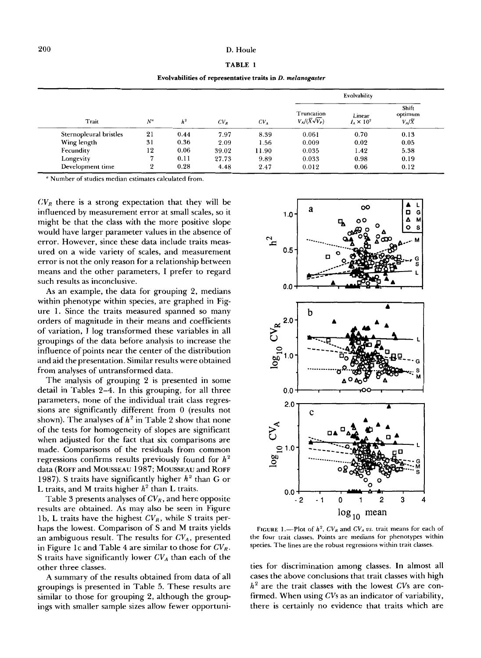# 200 D. Houle

| ٠ |  |
|---|--|
|---|--|

**Evolvabilities of representative traits in D.** *melanogaster* 

|                        |                |       |        |        | Evolvability                                 |                             |                                   |
|------------------------|----------------|-------|--------|--------|----------------------------------------------|-----------------------------|-----------------------------------|
| Trait                  | $N^a$          | $h^2$ | $CV_R$ | $CV_A$ | Truncation<br>$V_A/(\overline{X}\sqrt{V_P})$ | Linear<br>$I_A \times 10^2$ | Shift<br>optimum<br>$V_A/\bar{X}$ |
| Sternopleural bristles | 21             | 0.44  | 7.97   | 8.39   | 0.061                                        | 0.70                        | 0.13                              |
| Wing length            | 31             | 0.36  | 2.09   | 1.56   | 0.009                                        | 0.02                        | 0.05                              |
| Fecundity              | 12             | 0.06  | 39.02  | 11.90  | 0.035                                        | 1.42                        | 5.38                              |
| Longevity              |                | 0.11  | 27.73  | 9.89   | 0.033                                        | 0.98                        | 0.19                              |
| Development time       | $\overline{2}$ | 0.28  | 4.48   | 2.47   | 0.012                                        | 0.06                        | 0.12                              |

<sup>a</sup> Number of studies median estimates calculated from.

 $CV_R$  there is a strong expectation that they will be influenced by measurement error at small scales, *so* it might be that the class with the more positive slope would have larger parameter values in the absence of error. However, since these data include traits measured on a wide variety of scales, and measurement error is not the only reason for a relationship between means and the other parameters, I prefer to regard such results as inconclusive.

**As** an example, the data for grouping 2, medians within phenotype within species, are graphed in Figure 1. Since the traits measured spanned *so* many orders of magnitude in their means and coefficients of variation, I log transformed these variables in all groupings of the data before analysis to increase the influence of points near the center of the distribution and aid the presentation. Similar results were obtained from analyses of untransformed data.

The analysis of grouping 2 is presented in some detail in Tables 2-4. In this grouping, for all three parameters, none of the individual trait class regressions are significantly different from 0 (results not shown). The analyses of  $h^2$  in Table 2 show that none of the tests for homogeneity of slopes are significant when adjusted for the fact that six comparisons are made. Comparisons of the residuals from common regressions confirms results previously found for *h2*  data **(ROFF** and **MOUSSEAU** 1987; **MOUSSEAU** and **ROFF**  1987). **S** traits have significantly higher *h2* than G or L traits, and M traits higher  $h^2$  than L traits.

Table 3 presents analyses of  $CV_R$ , and here opposite results are obtained. **As** may also be seen in Figure 1 b, L traits have the highest *CVR,* while **S** traits perhaps the lowest. Comparison of **S** and M traits yields an ambiguous result. The results for *CV,,* presented in Figure IC and Table 4 are similar to those for *CVR.*  **S** traits have significantly lower *CV,* than each of the other three classes.

**A** summary of the results obtained from data of all groupings is presented in Table *5.* These results are similar to those for grouping 2, although the groupings with smaller sample sizes allow fewer opportuni-



FIGURE 1.-Plot of  $h^2$ ,  $CV_R$  and  $CV_A$  *vs.* trait means for each of the four trait classes. Points are medians for phenotypes within species. The lines are the robust regressions within trait classes.

ties for discrimination among classes. In almost all cases the above conclusions that trait classes with high *h2* are the trait classes with the lowest *CVs* are confirmed. When using *CVs* as an indicator of variability, there is certainly no evidence that traits which are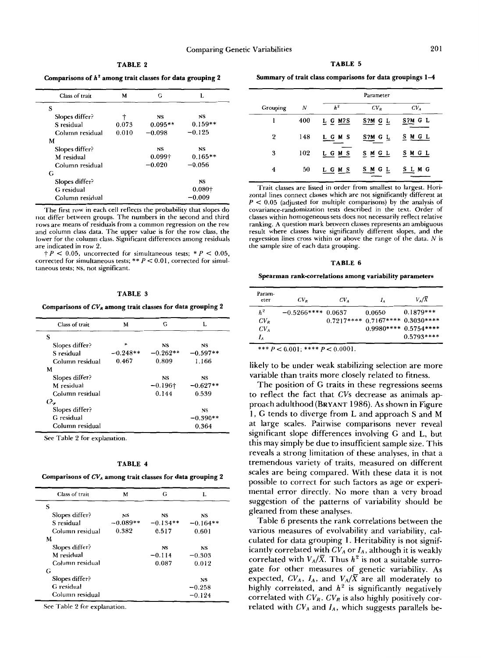**TABLE 2** 

Comparisons of  $h^2$  among trait classes for data grouping 2

| Class of trait  | M     | G              | L         |
|-----------------|-------|----------------|-----------|
| S               |       |                |           |
| Slopes differ?  |       | NS             | NS        |
| S residual      | 0.073 | $0.095**$      | $0.159**$ |
| Column residual | 0.010 | $-0.098$       | $-0.125$  |
| M               |       |                |           |
| Slopes differ?  |       | <b>NS</b>      | NS        |
| M residual      |       | $0.099\dagger$ | $0.165**$ |
| Column residual |       | $-0.020$       | $-0.056$  |
| G               |       |                |           |
| Slopes differ?  |       |                | <b>NS</b> |
| G residual      |       |                | $0.080+$  |
| Column residual |       |                | $-0.009$  |

The first row in each cell reflects the probability that slopes do not differ between groups. The numbers in the second and third rows are means of residuals from a common regression on the row and column class data. The upper value is for the row class, the lower for the column class. Significant differences among residuals are indicated in row 2.

 $t$  *P* < 0.05, uncorrected for simultaneous tests;  $* P$  < 0.05, corrected for simultaneous tests; \*\* *P* < 0.01, corrected for simultaneous tests; **NS,** not significant.

#### **TABLE 3**

**Comparisons of** *CV,* **among trait classes for data grouping 2** 

| Class of trait  | M          | G               | L          |
|-----------------|------------|-----------------|------------|
| S               |            |                 |            |
| Slopes differ?  | ж          | <b>NS</b>       | NS         |
| S residual      | $-0.248**$ | $-0.262**$      | $-0.597**$ |
| Column residual | 0.467      | 0.809           | 1.166      |
| M               |            |                 |            |
| Slopes differ?  |            | <b>NS</b>       | NS         |
| M residual      |            | $-0.196\dagger$ | $-0.627**$ |
| Column residual |            | 0.144           | 0.539      |
| $Q_{\bullet}$   |            |                 |            |
| Slopes differ?  |            |                 | <b>NS</b>  |
| G residual      |            |                 | $-0.390**$ |
| Column residual |            |                 | 0.364      |

See Table 2 for explanation.

#### **TABLE 4**

**Comparisons of** *CV,* **among trait classes for data grouping 2** 

| Class of trait  | M          | G          | L          |
|-----------------|------------|------------|------------|
| S               |            |            |            |
| Slopes differ?  | NS         | <b>NS</b>  | <b>NS</b>  |
| S residual      | $-0.089**$ | $-0.134**$ | $-0.164**$ |
| Column residual | 0.382      | 0.517      | 0.601      |
| M               |            |            |            |
| Slopes differ?  |            | NS         | <b>NS</b>  |
| M residual      |            | $-0.114$   | $-0.303$   |
| Column residual |            | 0.087      | 0.012      |
| G               |            |            |            |
| Slopes differ?  |            |            | NS         |
| G residual      |            |            | $-0.258$   |
| Column residual |            |            | $-0.124$   |

See Table 2 for explanation.

**TABLE** *5* 

| Summary of trait class comparisons for data groupings 1-4 |  |  |  |  |
|-----------------------------------------------------------|--|--|--|--|
|-----------------------------------------------------------|--|--|--|--|

| Summary of trait class comparisons for data groupings 1-4 |           |             |                 |  |  |
|-----------------------------------------------------------|-----------|-------------|-----------------|--|--|
|                                                           | Parameter |             |                 |  |  |
| N                                                         | $h^2$     | $CV_R$      | CV <sub>A</sub> |  |  |
| 400                                                       | L G M?S   | S?M G L     | S?M G L         |  |  |
| 148                                                       | LGMS      | S?M G L     | M G L<br>S      |  |  |
| 102                                                       | L G M S   | <b>SMGL</b> | SMGL            |  |  |
| 50                                                        | LGMS      | SMGL        | <b>SLMG</b>     |  |  |
|                                                           |           |             |                 |  |  |

Trait classes are listed in order from smallest to largest. Horizontal lines connect classes which are not significantly different at *<sup>P</sup>*< 0.05 (adjusted for multiple comparisons) by the analysis of covariance-randomization tests described in the text. Order of classes within homogeneous sets does not necessarily reflect relative ranking. **A** question mark between classes represents an ambiguous result where classes have significantly different slopes, and the regression lines cross within or above the range of the data. *N* is the sample size of each data grouping.

#### **TABLE 6**

#### **Spearman rank-correlations among variability parameters**

| Param-<br>eter  | $CV_{R}$              | $CV_{A}$ | $I_A$                            | $V_A/\overline{X}$     |
|-----------------|-----------------------|----------|----------------------------------|------------------------|
| $h^2$           | $-0.5266***$ $0.0637$ |          | 0.0650                           | $0.1879***$            |
| $CV_R$          |                       |          | $0.7217****0.7167****0.3030****$ |                        |
| CV <sub>A</sub> |                       |          |                                  | $0.9980****0.5754****$ |
| $I_A$           |                       |          |                                  | $0.5793***$            |

\*\*\*  $P < 0.001$ ; \*\*\*\*  $P < 0.0001$ .

likely to be under weak stabilizing selection are more variable than traits more closely related to fitness.

The position of G traits in these regressions seems to reflect the fact that *CVs* decrease as animals approach adulthood **(BRYANT** 1986). **As** shown **in** Figure 1, **G** tends to diverge from **L** and approach **S** and M at large scales. Pairwise comparisons never reveal significant slope differences involving G and **L,** but this may simply be due to insufficient sample size. This reveals a strong limitation of these analyses, in that a tremendous variety of traits, measured on different scales are being compared. With these data it is not possible **to** correct for such factors as age or experimental error directly. No more than a very broad suggestion of the patterns **of** variability should be gleaned from these analyses.

Table 6 presents the rank correlations between the various measures of evolvability and variability, calculated for data grouping l. Heritability is not significantly correlated with  $CV_A$  or  $I_A$ , although it is weakly correlated with  $V_A/\overline{X}$ . Thus  $h^2$  is not a suitable surrogate for other measures of genetic variability. **As**  expected,  $CV_A$ ,  $I_A$ , and  $V_A/\overline{X}$  are all moderately to highly correlated, and *h2* **is** significantly negatively correlated with  $CV_R$ .  $CV_R$  is also highly positively correlated with  $CV_A$  and  $I_A$ , which suggests parallels be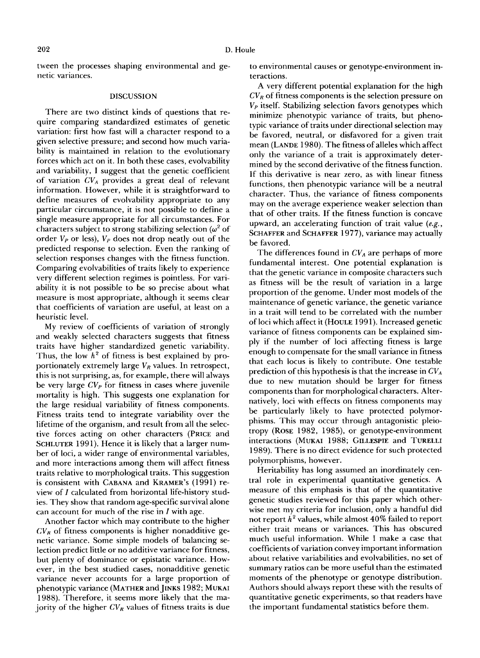tween the processes shaping environmental and genetic variances.

### **DISCUSSION**

There are two distinct kinds of questions that require comparing standardized estimates of genetic variation: first how fast will a character respond to a given selective pressure; and second how much variability is maintained in relation to the evolutionary forces which act on it. In both these cases, evolvability and variability, **I** suggest that the genetic coefficient of variation *CV,* provides a great deal of relevant information. However, while it is straightforward to define measures of evolvability appropriate to any particular circumstance, it is not possible to define a single measure appropriate for all circumstances. For characters subject to strong stabilizing selection *(w'* of order *Vp* or less), *Vp* does not drop neatly out of the predicted response to selection. Even the ranking of selection responses changes with the fitness function. Comparing evolvabilities of traits likely to experience very different selection regimes is pointless. For variability it is not possible to be **so** precise about what measure is most appropriate, although it seems clear that coefficients of variation are useful, at least on a heuristic level.

My review of coefficients of variation of strongly and weakly selected characters suggests that fitness traits have higher standardized genetic variability. Thus, the low  $h^2$  of fitness is best explained by proportionately extremely large *VR* values. In retrospect, this is not surprising, as, for example, there will always be very large *CVp* for fitness in cases where juvenile mortality is high. This suggests one explanation for the large residual variability of fitness components. Fitness traits tend to integrate variability over the lifetime of the organism, and result from all the selective forces acting on other characters (PRICE and SCHLUTER 1991). Hence it is likely that a larger number of loci, a wider range of environmental variables, and more interactions among them will affect fitness traits relative to morphological traits. This suggestion is consistent with CABANA and KRAMER's (1991) review of *I* calculated from horizontal life-history studies. They show that random age-specific survival alone can account **for** much of the rise in *I* with age.

Another factor which may contribute to the higher  $CV_R$  of fitness components is higher nonadditive genetic variance. Some simple models of balancing selection predict little or no additive variance for fitness, but plenty of dominance or epistatic variance. However, in the best studied cases, nonadditive genetic variance never accounts for a large proportion of phenotypic variance (MATHER and JINKS 1982; MUKAI 1988). Therefore, it seems more likely that the majority of the higher  $CV_R$  values of fitness traits is due to environmental causes or genotype-environment interactions.

A very different potential explanation for the high  $CV_R$  of fitness components is the selection pressure on *VP* itself. Stabilizing selection favors genotypes which minimize phenotypic variance of traits, but phenotypic variance of traits under directional selection may be favored, neutral, or disfavored for a given trait mean (LANDE 1980). The fitness of alleles which affect only the variance of a trait is approximately determined by the second derivative of the fitness function. If this derivative is near zero, as with linear fitness functions, then phenotypic variance will be a neutral character. Thus, the variance of fitness components may on the average experience weaker selection than that of other traits. If the fitness function is concave upward, an accelerating function of trait value *(e.g.,*  SCHAFFER and SCHAFFER 1977), variance may actually be favored.

The differences found in *CV,* are perhaps of more fundamental interest. One potential explanation is that the genetic variance in composite characters such as fitness will be the result of variation in a large proportion of the genome. Under most models of the maintenance of genetic variance, the genetic variance in a trait will tend to be correlated with the number of loci which affect it **(HOULE** 199 1). Increased genetic variance of fitness components can be explained simply if the number of loci affecting fitness is large enough to compensate for the small variance in fitness that each locus is likely to contribute. One testable prediction of this hypothesis is that the increase in *CV,*  due to new mutation should be larger for fitness components than for morphological characters. Alternatively, loci with effects on fitness components may be particularly likely to have protected polymorphisms. This may occur through antagonistic pleiotropy (ROSE 1982, 1985), or genotype-environment interactions (MUKAI 1988; GILLESPIE and TURELLI 1989). There is no direct evidence for such protected polymorphisms, however.

Heritability has long assumed an inordinately central role in experimental quantitative genetics. A measure of this emphasis is that of the quantitative genetic studies reviewed for this paper which otherwise met my criteria for inclusion, only a handful did not report *h'* values, while almost **40%** failed to report either trait means or variances. This has obscured much useful information. While I make a case that coefficients of variation convey important information about relative variabilities and evolvabilities, no set **of**  summary ratios can be more useful than the estimated moments of the phenotype or genotype distribution. Authors should always report these with the results of quantitative genetic experiments, **so** that readers have the important fundamental statistics before them.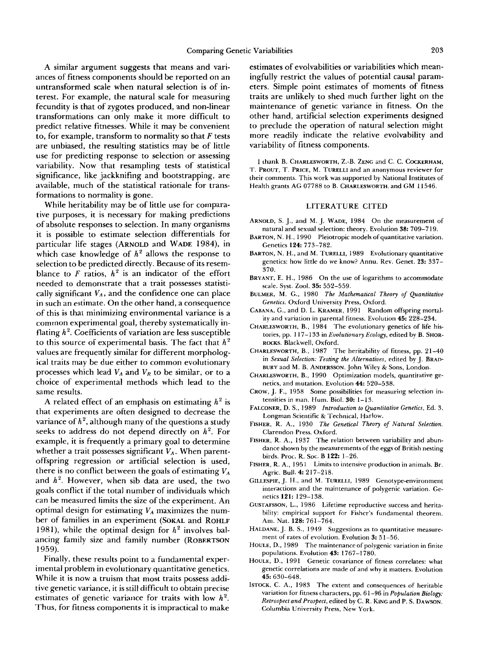A similar argument suggests that means and variances of fitness components should be reported on an untransformed scale when natural selection is of interest. **For** example, the natural scale for measuring fecundity is that of zygotes produced, and non-linear transformations can only make it more difficult to predict relative fitnesses. While it may be convenient to, for example, transform to normality **so** that *F* tests are unbiased, the resulting statistics may be of little use for predicting response to selection or assessing variability. Now that resampling tests of statistical significance, like jackknifing and bootstrapping, are available, much of the statistical rationale for transformations to normality is gone.

While heritability may be of little use for comparative purposes, it is necessary for making predictions of absolute responses to selection. In many organisms it is possible to estimate selection differentials for particular life stages (ARNOLD and WADE 1984), in which case knowledge of  $h^2$  allows the response to selection to be predicted directly. Because of its resemblance to  $F$  ratios,  $h^2$  is an indicator of the effort needed **to** demonstrate that a trait possesses statistically significant  $V_A$ , and the confidence one can place in such an estimate. On the other hand, a consequence of this is that minimizing environmental variance is a common experimental goal, thereby systematically inflating *h'.* Coefficients of variation are less susceptible to this source of experimental basis. The fact that *h2*  values are frequently similar for different morphological traits may be due either to common evolutionary processes which lead  $V_A$  and  $V_R$  to be similar, or to a choice of experimental methods which lead to the same results.

A related effect of an emphasis on estimating  $h^2$  is that experiments are often designed to decrease the variance of  $h^2$ , although many of the questions a study seeks to address do not depend directly on  $h^2$ . For example, it is frequently a primary goal to determine whether a trait possesses significant  $V_A$ . When parentoffspring regression **or** artificial selection is used, there is no conflict between the goals of estimating *V,*  and *h'.* However, when sib data are used, the two goals conflict if the total number of individuals which can be measured limits the size of the experiment. An optimal design for estimating  $V_A$  maximizes the number of families in an experiment (SOKAL and ROHLF 1981), while the optimal design for  $h^2$  involves balancing family size and family number (ROBERTSON 1959).

Finally, these results point to a fundamental experimental problem in evolutionary quantitative genetics. While it is now a truism that most traits possess additive genetic variance, it is still difficult to obtain precise estimates of genetic variance for traits with low *h2.*  Thus, for fitness components it is impractical to make estimates of evolvabilities or variabilities which meaningfully restrict the values of potential causal parameters. Simple point estimates of moments of fitness traits are unlikely to shed much further light on the maintenance of genetic variance in fitness. On the other hand, artificial selection experiments designed to preclude the operation of natural selection might more readily indicate the relative evolvability and variability of fitness components.

I thank B. CHARLESWORTH, Z.-B. ZENG and C. C. COCKERHAM, T. PROUT, T. PRICE, M. TURELLI and an anonymous reviewer for their comments. This work was supported by National Institutes of Health grants AG **07788** to B. CHARLESWORTH, and **GM 11546.** 

### **LITERATURE CITED**

- ARNOLD, S. J., and **M.** J. WADE, **1984** On the measurement of natural and sexual selection: theory. Evolution **38: 709-719.**
- BARTON, N. H., **1990** Pleiotropic models of quantitative variation. Genetics **124 773-782.**
- BARTON, N. H., and **M.** TURELLI, **1989** Evolutionary quantitative genetics: how little do we know? Annu. Rev. Genet. **23: 337- 370.**
- BRYANT, E. H., **1986** On the use of logarithms to accommodate scale. Syst. Zool. **35: 552-559.**
- BULMER, **M. G., 1980** *The Mathematical Theory of Quantitative Genetics.* Oxford University Press, Oxford.
- CABANA, **G.,** and D. L. KRAMER, **1991** Random offspring mortality and variation in parental fitness. Evolution **45: 228-234.**
- CHARLESWORTH, B., **1984** The evolutionary genetics of life histories, pp. **1 17-1 33** in *Evolutionary Ecology,* edited by B. SHOR-ROCKS. Blackwell, Oxford.
- CHARLESWORTH, B.,**1987** The heritability of fitness, pp. **21-40**  in *Sexual Selection: Testing the Alternatives,* edited by J. BRAD-BURY and M. B. ANDERSON. John Wiley & Sons, London.
- CHARLESWORTH, B.**1990** Optimization models, quantitative genetics, and mutation. Evolution **44: 520-538.**
- CROW, J. **F., 1958** Some possibilities for measuring selection intensities in man. Hum. Biol. **30: 1-13.**
- FALCONER, D. S., **1989** *Introduction to Quantitative Genetics,* Ed. **3.**  Longman Scientific & Technical, Harlow.
- FISHER, R. A., **1930** *The Genetical Theory of Natural Selection.*  Clarendon Press, Oxford.
- FISHER, **R.** A,, **1937** The relation between variability and abundance shown by the measurements of the eggs of British nesting birds. Proc. R. SOC. B **122: 1-26.**
- FISHER, **R.** A., **1951** Limits to intensive production in animals. Br. Agric. Bull. **4: 217-218.**
- GILLESPIE, J. H., and **M.** TURELLI, **1989** Genotype-environment interactions and the maintenance of polygenic variation. Genetics **121: 129-1 38.**
- GUSTAFSSON, L., **1986** Lifetime reproductive success and heritability: empirical support for Fisher's fundamental theorem. Am. Nat. **128: 761-764.**
- HALDANE, J. B. S., **1949** Suggestions as to quantitative measurement of rates **of** evolution. Evolution **3: 51-56.**
- HOULE, D., **1989** The maintenance of polygenic variation in finite populations. Evolution **43: 1767-1780.**
- HOULE, D., **1991** Genetic covariance **of** fitness correlates: what genetic correlations are made of and why it matters. Evolution **45: 630-648.**
- ISTOCK, C. **A,, 1983** The extent and consequences of heritable variation **for** fitness characters, pp. **61-96** in *Population Biology: Retrospect and Prospect,* edited by C. R. KING and P. S. DAWSON. Columbia University Press, New York.